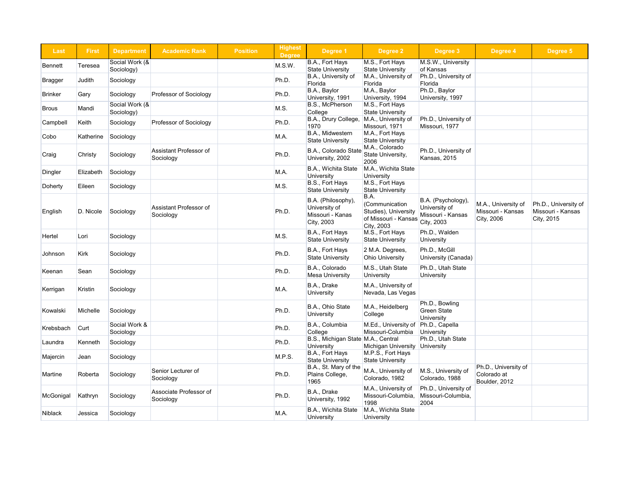| <b>Last</b>    | <b>First</b> | <b>Department</b>            | <b>Academic Rank</b>                       | <b>Position</b> | <b>Highest</b><br><b>Degree</b> | Degree 1                                                              | Degree 2                                                                             | Degree 3                                                               | Degree 4                                               | Degree 5                                        |
|----------------|--------------|------------------------------|--------------------------------------------|-----------------|---------------------------------|-----------------------------------------------------------------------|--------------------------------------------------------------------------------------|------------------------------------------------------------------------|--------------------------------------------------------|-------------------------------------------------|
| Bennett        | Teresea      | Social Work (&               |                                            |                 | M.S.W.                          | B.A., Fort Hays                                                       | M.S., Fort Hays                                                                      | M.S.W., University                                                     |                                                        |                                                 |
| Bragger        | Judith       | Sociology)<br>Sociology      |                                            |                 | Ph.D.                           | <b>State University</b><br>B.A., University of<br>Florida             | <b>State University</b><br>M.A., University of<br>Florida                            | of Kansas<br>Ph.D., University of<br>Florida                           |                                                        |                                                 |
| <b>Brinker</b> | Gary         | Sociology                    | Professor of Sociology                     |                 | Ph.D.                           | B.A., Baylor<br>University, 1991                                      | M.A., Baylor<br>University, 1994                                                     | Ph.D., Baylor<br>University, 1997                                      |                                                        |                                                 |
| <b>Brous</b>   | Mandi        | Social Work (&<br>Sociology) |                                            |                 | M.S.                            | B.S., McPherson<br>College                                            | M.S., Fort Hays<br><b>State University</b>                                           |                                                                        |                                                        |                                                 |
| Campbell       | Keith        | Sociology                    | <b>Professor of Sociology</b>              |                 | Ph.D.                           | B.A., Drury College,<br>1970                                          | M.A., University of<br>Missouri, 1971                                                | Ph.D., University of<br>Missouri, 1977                                 |                                                        |                                                 |
| Cobo           | Katherine    | Sociology                    |                                            |                 | M.A.                            | B.A., Midwestern<br><b>State University</b>                           | M.A., Fort Hays<br><b>State University</b>                                           |                                                                        |                                                        |                                                 |
| ∣Craig         | Christy      | Sociology                    | Assistant Professor of<br>Sociology        |                 | Ph.D.                           | B.A., Colorado State<br>University, 2002                              | M.A., Colorado<br>State University,<br>2006                                          | Ph.D., University of<br><b>Kansas, 2015</b>                            |                                                        |                                                 |
| Dingler        | Elizabeth    | Sociology                    |                                            |                 | M.A.                            | B.A., Wichita State<br><b>University</b>                              | M.A., Wichita State<br><b>University</b>                                             |                                                                        |                                                        |                                                 |
| Doherty        | Eileen       | Sociology                    |                                            |                 | M.S.                            | B.S., Fort Hays<br><b>State University</b>                            | M.S., Fort Hays<br><b>State University</b>                                           |                                                                        |                                                        |                                                 |
| English        | D. Nicole    | Sociology                    | <b>Assistant Professor of</b><br>Sociology |                 | Ph.D.                           | B.A. (Philosophy),<br>University of<br>Missouri - Kanas<br>City, 2003 | B.A.<br>(Communication<br>Studies), University<br>of Missouri - Kansas<br>City, 2003 | B.A. (Psychology),<br>University of<br>Missouri - Kansas<br>City, 2003 | M.A., University of<br>Missouri - Kansas<br>City, 2006 | Ph.D., Univers<br>Missouri - Kans<br>City, 2015 |
| Hertel         | Lori         | Sociology                    |                                            |                 | M.S.                            | B.A., Fort Hays<br><b>State University</b>                            | M.S., Fort Hays<br><b>State University</b>                                           | Ph.D., Walden<br><b>University</b>                                     |                                                        |                                                 |
| Johnson        | <b>Kirk</b>  | Sociology                    |                                            |                 | Ph.D.                           | B.A., Fort Hays<br><b>State University</b>                            | 2 M.A. Degrees,<br><b>Ohio University</b>                                            | Ph.D., McGill<br>University (Canada)                                   |                                                        |                                                 |
| Keenan         | ∣Sean        | Sociology                    |                                            |                 | Ph.D.                           | B.A., Colorado<br><b>Mesa University</b>                              | M.S., Utah State<br><b>University</b>                                                | Ph.D., Utah State<br>University                                        |                                                        |                                                 |
| Kerrigan       | Kristin      | Sociology                    |                                            |                 | M.A.                            | B.A., Drake<br>University                                             | M.A., University of<br>Nevada, Las Vegas                                             |                                                                        |                                                        |                                                 |
| Kowalski       | Michelle     | Sociology                    |                                            |                 | Ph.D.                           | B.A., Ohio State<br><b>University</b>                                 | M.A., Heidelberg<br>College                                                          | Ph.D., Bowling<br><b>Green State</b><br>University                     |                                                        |                                                 |
| Krebsbach      | Curt         | Social Work &<br>Sociology   |                                            |                 | Ph.D.                           | B.A., Columbia<br>College                                             | M.Ed., University of<br>Missouri-Columbia                                            | Ph.D., Capella<br>University                                           |                                                        |                                                 |
| Laundra        | Kenneth      | Sociology                    |                                            |                 | Ph.D.                           | B.S., Michigan State M.A., Central<br>University                      | Michigan University University                                                       | Ph.D., Utah State                                                      |                                                        |                                                 |
| Majercin       | Jean         | Sociology                    |                                            |                 | M.P.S.                          | B.A., Fort Hays<br><b>State University</b>                            | M.P.S., Fort Hays<br><b>State University</b>                                         |                                                                        |                                                        |                                                 |
| Martine        | Roberta      | Sociology                    | Senior Lecturer of<br>Sociology            |                 | Ph.D.                           | B.A., St. Mary of the<br>Plains College,<br>1965                      | M.A., University of<br>Colorado, 1982                                                | M.S., University of<br>Colorado, 1988                                  | Ph.D., University of<br>Colorado at<br>Boulder, 2012   |                                                 |
| McGonigal      | Kathryn      | Sociology                    | Associate Professor of<br>Sociology        |                 | Ph.D.                           | B.A., Drake<br>University, 1992                                       | M.A., University of<br>Missouri-Columbia,<br>1998                                    | Ph.D., University of<br>Missouri-Columbia,<br>2004                     |                                                        |                                                 |
| Niblack        | Jessica      | Sociology                    |                                            |                 | M.A.                            | B.A., Wichita State<br><b>University</b>                              | M.A., Wichita State<br><b>University</b>                                             |                                                                        |                                                        |                                                 |

| Degree 3                                                               | Degree 4                                               | Degree 5                                                |
|------------------------------------------------------------------------|--------------------------------------------------------|---------------------------------------------------------|
| M.S.W., University<br>of Kansas                                        |                                                        |                                                         |
| Ph.D., University of<br>Florida                                        |                                                        |                                                         |
| Ph.D., Baylor<br>University, 1997                                      |                                                        |                                                         |
|                                                                        |                                                        |                                                         |
| Ph.D., University of<br>Missouri, 1977                                 |                                                        |                                                         |
|                                                                        |                                                        |                                                         |
| Ph.D., University of<br>Kansas, 2015                                   |                                                        |                                                         |
|                                                                        |                                                        |                                                         |
|                                                                        |                                                        |                                                         |
| B.A. (Psychology),<br>University of<br>Missouri - Kansas<br>City, 2003 | M.A., University of<br>Missouri - Kansas<br>City, 2006 | Ph.D., University of<br>Missouri - Kansas<br>City, 2015 |
| Ph.D., Walden<br><b>University</b>                                     |                                                        |                                                         |
| Ph.D., McGill<br>University (Canada)                                   |                                                        |                                                         |
| Ph.D., Utah State<br>University                                        |                                                        |                                                         |
|                                                                        |                                                        |                                                         |
| Ph.D., Bowling<br><b>Green State</b><br>University                     |                                                        |                                                         |
| Ph.D., Capella<br>University                                           |                                                        |                                                         |
| Ph.D., Utah State<br>University                                        |                                                        |                                                         |
|                                                                        |                                                        |                                                         |
| M.S., University of<br>Colorado, 1988                                  | Ph.D., University of<br>Colorado at<br>Boulder, 2012   |                                                         |
| Ph.D., University of<br>Missouri-Columbia,<br>2004                     |                                                        |                                                         |
|                                                                        |                                                        |                                                         |